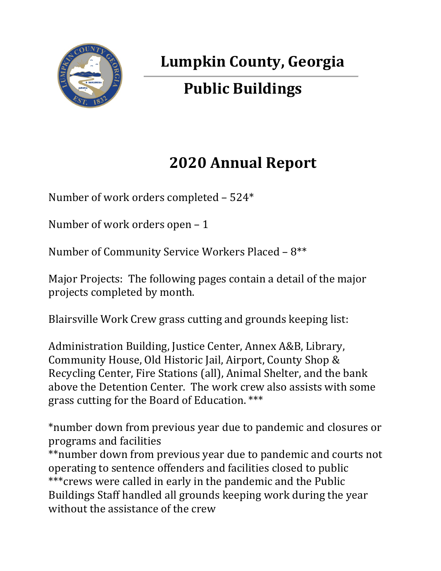

## **Lumpkin County, Georgia**

# **Public Buildings**

## **2020 Annual Report**

Number of work orders completed – 524\*

Number of work orders open – 1

Number of Community Service Workers Placed – 8\*\*

Major Projects: The following pages contain a detail of the major projects completed by month.

Blairsville Work Crew grass cutting and grounds keeping list:

Administration Building, Justice Center, Annex A&B, Library, Community House, Old Historic Jail, Airport, County Shop & Recycling Center, Fire Stations (all), Animal Shelter, and the bank above the Detention Center. The work crew also assists with some grass cutting for the Board of Education. \*\*\*

\*number down from previous year due to pandemic and closures or programs and facilities

\*\*number down from previous year due to pandemic and courts not operating to sentence offenders and facilities closed to public \*\*\*crews were called in early in the pandemic and the Public Buildings Staff handled all grounds keeping work during the year without the assistance of the crew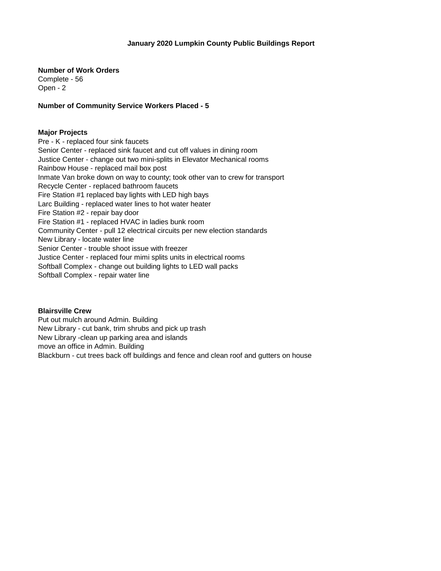**Number of Work Orders** 

Complete - 56 Open - 2

**Number of Community Service Workers Placed - 5**

## **Major Projects**

Pre - K - replaced four sink faucets Senior Center - replaced sink faucet and cut off values in dining room Justice Center - change out two mini-splits in Elevator Mechanical rooms Rainbow House - replaced mail box post Inmate Van broke down on way to county; took other van to crew for transport Recycle Center - replaced bathroom faucets Fire Station #1 replaced bay lights with LED high bays Larc Building - replaced water lines to hot water heater Fire Station #2 - repair bay door Fire Station #1 - replaced HVAC in ladies bunk room Community Center - pull 12 electrical circuits per new election standards New Library - locate water line Senior Center - trouble shoot issue with freezer Justice Center - replaced four mimi splits units in electrical rooms Softball Complex - change out building lights to LED wall packs Softball Complex - repair water line

## **Blairsville Crew**

Put out mulch around Admin. Building New Library - cut bank, trim shrubs and pick up trash New Library -clean up parking area and islands move an office in Admin. Building Blackburn - cut trees back off buildings and fence and clean roof and gutters on house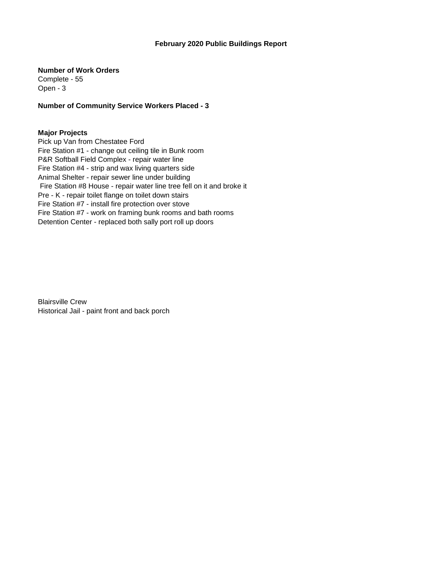## **February 2020 Public Buildings Report**

**Number of Work Orders**

Complete - 55 Open - 3

**Number of Community Service Workers Placed - 3**

#### **Major Projects**

Pick up Van from Chestatee Ford Fire Station #1 - change out ceiling tile in Bunk room P&R Softball Field Complex - repair water line Fire Station #4 - strip and wax living quarters side Animal Shelter - repair sewer line under building Fire Station #8 House - repair water line tree fell on it and broke it Pre - K - repair toilet flange on toilet down stairs Fire Station #7 - install fire protection over stove Fire Station #7 - work on framing bunk rooms and bath rooms Detention Center - replaced both sally port roll up doors

Blairsville Crew Historical Jail - paint front and back porch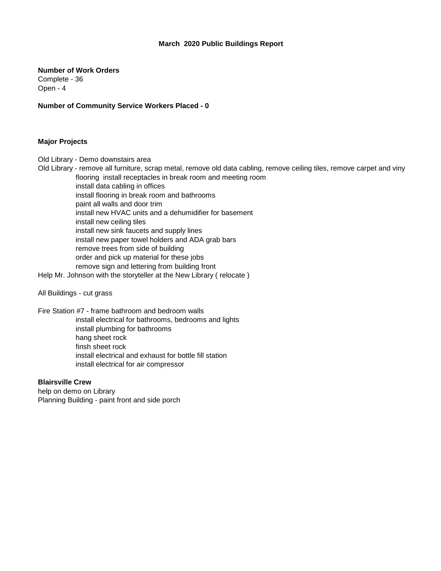#### **March 2020 Public Buildings Report**

**Number of Work Orders** Complete - 36 Open - 4

**Number of Community Service Workers Placed - 0**

#### **Major Projects**

Old Library - Demo downstairs area

- Old Library remove all furniture, scrap metal, remove old data cabling, remove ceiling tiles, remove carpet and viny flooring install receptacles in break room and meeting room
	- install data cabling in offices install flooring in break room and bathrooms paint all walls and door trim install new HVAC units and a dehumidifier for basement install new ceiling tiles install new sink faucets and supply lines install new paper towel holders and ADA grab bars remove trees from side of building order and pick up material for these jobs remove sign and lettering from building front

Help Mr. Johnson with the storyteller at the New Library ( relocate )

All Buildings - cut grass

Fire Station #7 - frame bathroom and bedroom walls install electrical for bathrooms, bedrooms and lights install plumbing for bathrooms hang sheet rock finsh sheet rock install electrical and exhaust for bottle fill station install electrical for air compressor

## **Blairsville Crew**

help on demo on Library Planning Building - paint front and side porch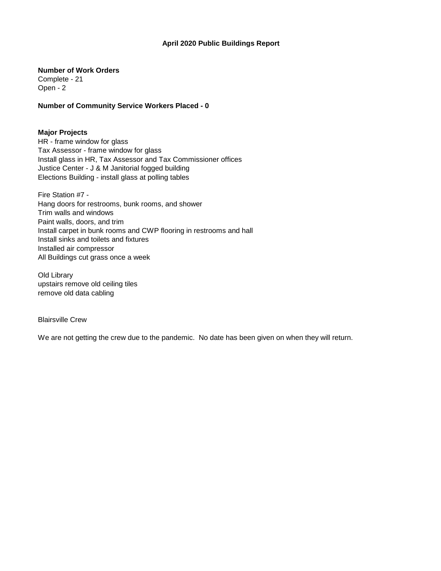## **April 2020 Public Buildings Report**

**Number of Work Orders**

Complete - 21 Open - 2

**Number of Community Service Workers Placed - 0**

#### **Major Projects**

HR - frame window for glass Tax Assessor - frame window for glass Install glass in HR, Tax Assessor and Tax Commissioner offices Justice Center - J & M Janitorial fogged building Elections Building - install glass at polling tables

Fire Station #7 - Hang doors for restrooms, bunk rooms, and shower Trim walls and windows Paint walls, doors, and trim Install carpet in bunk rooms and CWP flooring in restrooms and hall Install sinks and toilets and fixtures Installed air compressor All Buildings cut grass once a week

Old Library upstairs remove old ceiling tiles remove old data cabling

Blairsville Crew

We are not getting the crew due to the pandemic. No date has been given on when they will return.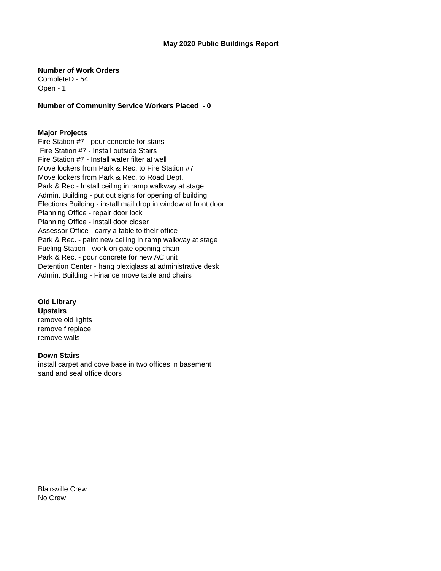**Number of Work Orders**

CompleteD - 54 Open - 1

**Number of Community Service Workers Placed - 0**

## **Major Projects**

Fire Station #7 - pour concrete for stairs Fire Station #7 - Install outside Stairs Fire Station #7 - Install water filter at well Move lockers from Park & Rec. to Fire Station #7 Move lockers from Park & Rec. to Road Dept. Park & Rec - Install ceiling in ramp walkway at stage Admin. Building - put out signs for opening of building Elections Building - install mail drop in window at front door Planning Office - repair door lock Planning Office - install door closer Assessor Office - carry a table to theIr office Park & Rec. - paint new ceiling in ramp walkway at stage Fueling Station - work on gate opening chain Park & Rec. - pour concrete for new AC unit Detention Center - hang plexiglass at administrative desk Admin. Building - Finance move table and chairs

**Old Library Upstairs** remove old lights remove fireplace remove walls

**Down Stairs** install carpet and cove base in two offices in basement sand and seal office doors

Blairsville Crew No Crew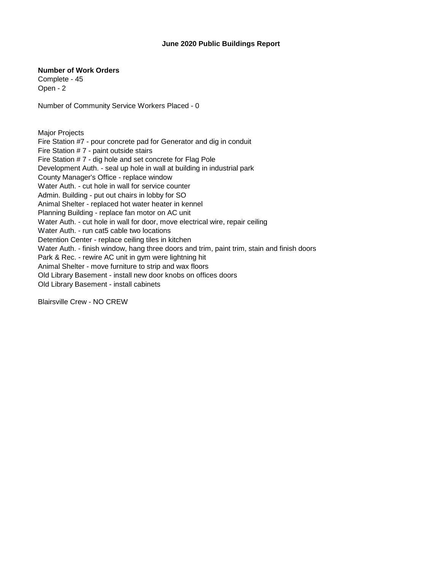#### **June 2020 Public Buildings Report**

#### **Number of Work Orders**

Complete - 45 Open - 2

Number of Community Service Workers Placed - 0

Major Projects Fire Station #7 - pour concrete pad for Generator and dig in conduit Fire Station # 7 - paint outside stairs Fire Station # 7 - dig hole and set concrete for Flag Pole Development Auth. - seal up hole in wall at building in industrial park County Manager's Office - replace window Water Auth. - cut hole in wall for service counter Admin. Building - put out chairs in lobby for SO Animal Shelter - replaced hot water heater in kennel Planning Building - replace fan motor on AC unit Water Auth. - cut hole in wall for door, move electrical wire, repair ceiling Water Auth. - run cat5 cable two locations Detention Center - replace ceiling tiles in kitchen Water Auth. - finish window, hang three doors and trim, paint trim, stain and finish doors Park & Rec. - rewire AC unit in gym were lightning hit Animal Shelter - move furniture to strip and wax floors Old Library Basement - install new door knobs on offices doors Old Library Basement - install cabinets

Blairsville Crew - NO CREW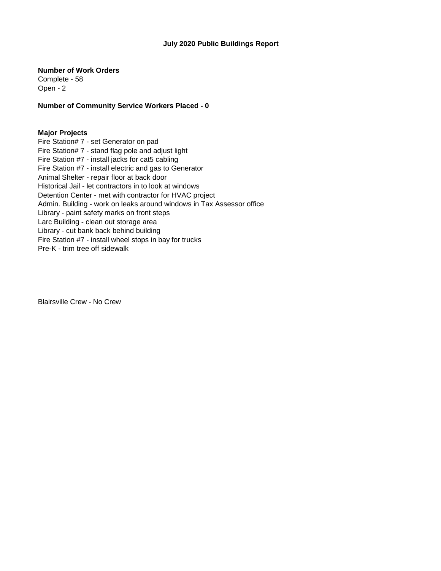#### **July 2020 Public Buildings Report**

**Number of Work Orders**

Complete - 58 Open - 2

**Number of Community Service Workers Placed - 0**

## **Major Projects**

Fire Station# 7 - set Generator on pad Fire Station# 7 - stand flag pole and adjust light Fire Station #7 - install jacks for cat5 cabling Fire Station #7 - install electric and gas to Generator Animal Shelter - repair floor at back door Historical Jail - let contractors in to look at windows Detention Center - met with contractor for HVAC project Admin. Building - work on leaks around windows in Tax Assessor office Library - paint safety marks on front steps Larc Building - clean out storage area Library - cut bank back behind building Fire Station #7 - install wheel stops in bay for trucks Pre-K - trim tree off sidewalk

Blairsville Crew - No Crew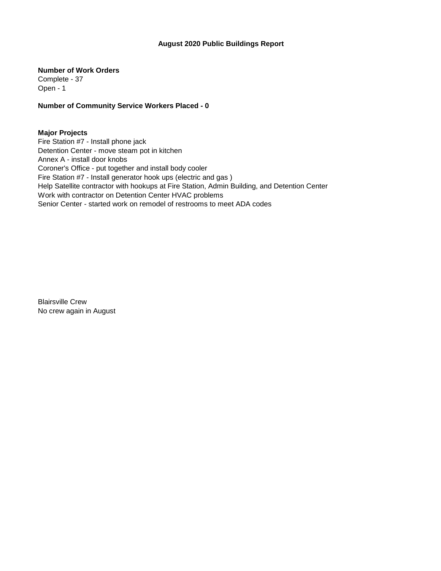## **August 2020 Public Buildings Report**

**Number of Work Orders**

Complete - 37 Open - 1

**Number of Community Service Workers Placed - 0**

## **Major Projects**

Fire Station #7 - Install phone jack Detention Center - move steam pot in kitchen Annex A - install door knobs Coroner's Office - put together and install body cooler Fire Station #7 - Install generator hook ups (electric and gas ) Help Satellite contractor with hookups at Fire Station, Admin Building, and Detention Center Work with contractor on Detention Center HVAC problems Senior Center - started work on remodel of restrooms to meet ADA codes

Blairsville Crew No crew again in August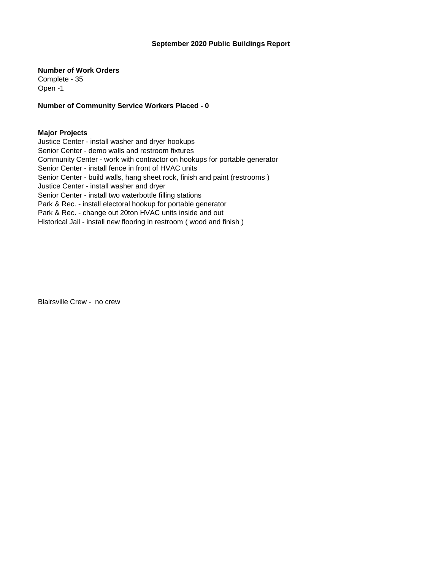#### **September 2020 Public Buildings Report**

**Number of Work Orders**

Complete - 35 Open -1

**Number of Community Service Workers Placed - 0**

#### **Major Projects**

Justice Center - install washer and dryer hookups Senior Center - demo walls and restroom fixtures Community Center - work with contractor on hookups for portable generator Senior Center - install fence in front of HVAC units Senior Center - build walls, hang sheet rock, finish and paint (restrooms ) Justice Center - install washer and dryer Senior Center - install two waterbottle filling stations Park & Rec. - install electoral hookup for portable generator Park & Rec. - change out 20ton HVAC units inside and out Historical Jail - install new flooring in restroom ( wood and finish )

Blairsville Crew - no crew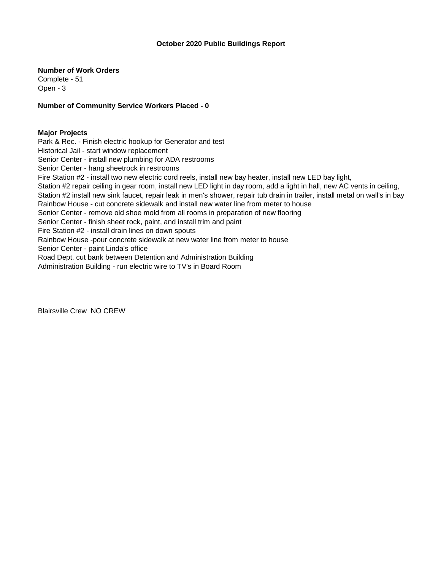#### **October 2020 Public Buildings Report**

**Number of Work Orders**

Complete - 51 Open - 3

**Number of Community Service Workers Placed - 0**

## **Major Projects**

Park & Rec. - Finish electric hookup for Generator and test

Historical Jail - start window replacement

Senior Center - install new plumbing for ADA restrooms

Senior Center - hang sheetrock in restrooms

Fire Station #2 - install two new electric cord reels, install new bay heater, install new LED bay light,

Station #2 repair ceiling in gear room, install new LED light in day room, add a light in hall, new AC vents in ceiling,

Station #2 install new sink faucet, repair leak in men's shower, repair tub drain in trailer, install metal on wall's in bay Rainbow House - cut concrete sidewalk and install new water line from meter to house

Senior Center - remove old shoe mold from all rooms in preparation of new flooring

Senior Center - finish sheet rock, paint, and install trim and paint

Fire Station #2 - install drain lines on down spouts

Rainbow House -pour concrete sidewalk at new water line from meter to house

Senior Center - paint Linda's office

Road Dept. cut bank between Detention and Administration Building

Administration Building - run electric wire to TV's in Board Room

Blairsville Crew NO CREW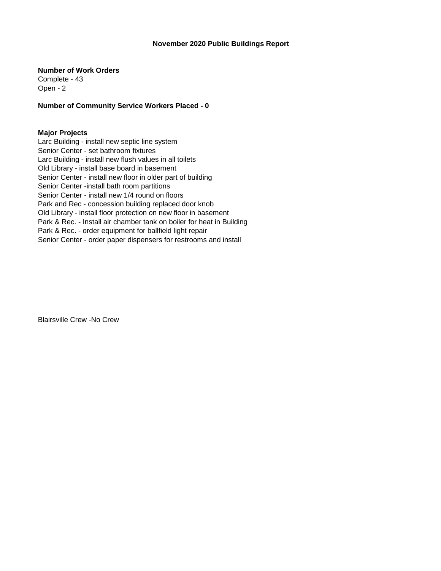#### **November 2020 Public Buildings Report**

**Number of Work Orders**

Complete - 43 Open - 2

**Number of Community Service Workers Placed - 0**

## **Major Projects**

Larc Building - install new septic line system Senior Center - set bathroom fixtures Larc Building - install new flush values in all toilets Old Library - install base board in basement Senior Center - install new floor in older part of building Senior Center -install bath room partitions Senior Center - install new 1/4 round on floors Park and Rec - concession building replaced door knob Old Library - install floor protection on new floor in basement Park & Rec. - Install air chamber tank on boiler for heat in Building Park & Rec. - order equipment for ballfield light repair Senior Center - order paper dispensers for restrooms and install

Blairsville Crew -No Crew